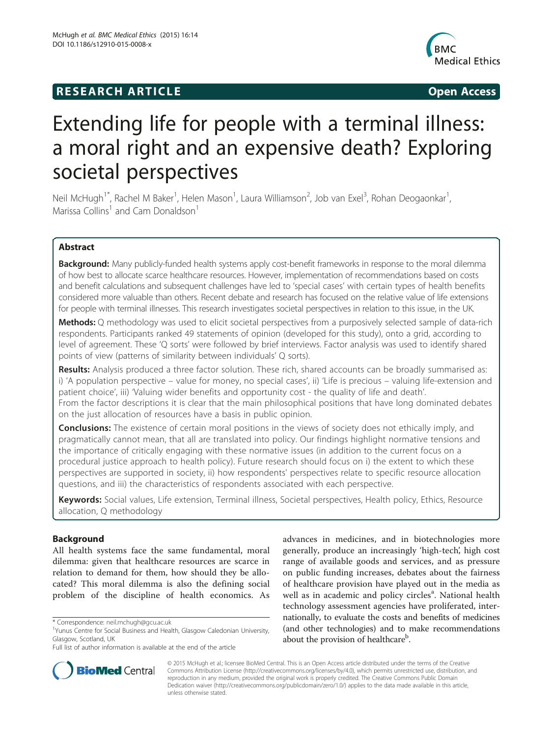# R E S EAR CH A R TIC L E Open Access



# Extending life for people with a terminal illness: a moral right and an expensive death? Exploring societal perspectives

Neil McHugh<sup>1\*</sup>, Rachel M Baker<sup>1</sup>, Helen Mason<sup>1</sup>, Laura Williamson<sup>2</sup>, Job van Exel<sup>3</sup>, Rohan Deogaonkar<sup>1</sup> , Marissa Collins<sup>1</sup> and Cam Donaldson<sup>1</sup>

# Abstract

Background: Many publicly-funded health systems apply cost-benefit frameworks in response to the moral dilemma of how best to allocate scarce healthcare resources. However, implementation of recommendations based on costs and benefit calculations and subsequent challenges have led to 'special cases' with certain types of health benefits considered more valuable than others. Recent debate and research has focused on the relative value of life extensions for people with terminal illnesses. This research investigates societal perspectives in relation to this issue, in the UK.

Methods: Q methodology was used to elicit societal perspectives from a purposively selected sample of data-rich respondents. Participants ranked 49 statements of opinion (developed for this study), onto a grid, according to level of agreement. These 'Q sorts' were followed by brief interviews. Factor analysis was used to identify shared points of view (patterns of similarity between individuals' Q sorts).

Results: Analysis produced a three factor solution. These rich, shared accounts can be broadly summarised as: i) 'A population perspective – value for money, no special cases', ii) 'Life is precious – valuing life-extension and patient choice', iii) 'Valuing wider benefits and opportunity cost - the quality of life and death'. From the factor descriptions it is clear that the main philosophical positions that have long dominated debates on the just allocation of resources have a basis in public opinion.

**Conclusions:** The existence of certain moral positions in the views of society does not ethically imply, and pragmatically cannot mean, that all are translated into policy. Our findings highlight normative tensions and the importance of critically engaging with these normative issues (in addition to the current focus on a procedural justice approach to health policy). Future research should focus on i) the extent to which these perspectives are supported in society, ii) how respondents' perspectives relate to specific resource allocation questions, and iii) the characteristics of respondents associated with each perspective.

Keywords: Social values, Life extension, Terminal illness, Societal perspectives, Health policy, Ethics, Resource allocation, Q methodology

# Background

All health systems face the same fundamental, moral dilemma: given that healthcare resources are scarce in relation to demand for them, how should they be allocated? This moral dilemma is also the defining social problem of the discipline of health economics. As

advances in medicines, and in biotechnologies more generally, produce an increasingly 'high-tech', high cost range of available goods and services, and as pressure on public funding increases, debates about the fairness of healthcare provision have played out in the media as well as in academic and policy circles<sup>a</sup>. National health technology assessment agencies have proliferated, internationally, to evaluate the costs and benefits of medicines (and other technologies) and to make recommendations about the provision of healthcare<sup>b</sup>.



© 2015 McHugh et al.; licensee BioMed Central. This is an Open Access article distributed under the terms of the Creative Commons Attribution License [\(http://creativecommons.org/licenses/by/4.0\)](http://creativecommons.org/licenses/by/4.0), which permits unrestricted use, distribution, and reproduction in any medium, provided the original work is properly credited. The Creative Commons Public Domain Dedication waiver [\(http://creativecommons.org/publicdomain/zero/1.0/](http://creativecommons.org/publicdomain/zero/1.0/)) applies to the data made available in this article, unless otherwise stated.

<sup>\*</sup> Correspondence: [neil.mchugh@gcu.ac.uk](mailto:neil.mchugh@gcu.ac.uk) <sup>1</sup>

<sup>&</sup>lt;sup>1</sup>Yunus Centre for Social Business and Health, Glasgow Caledonian University, Glasgow, Scotland, UK

Full list of author information is available at the end of the article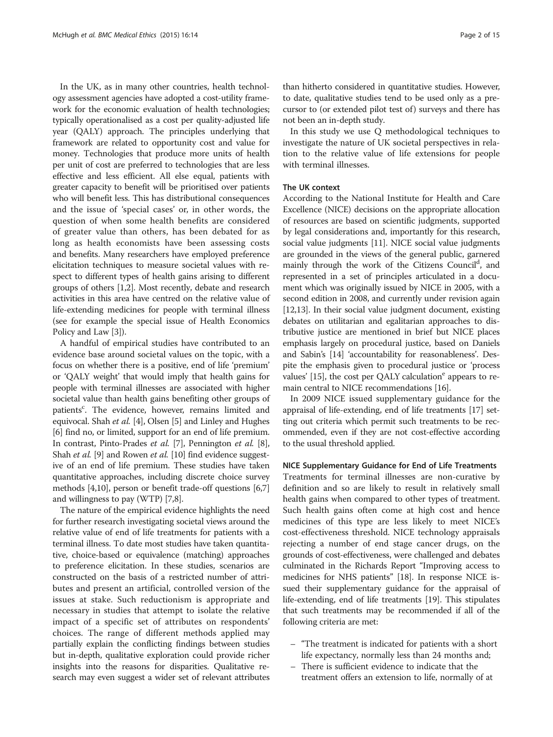In the UK, as in many other countries, health technology assessment agencies have adopted a cost-utility framework for the economic evaluation of health technologies; typically operationalised as a cost per quality-adjusted life year (QALY) approach. The principles underlying that framework are related to opportunity cost and value for money. Technologies that produce more units of health per unit of cost are preferred to technologies that are less effective and less efficient. All else equal, patients with greater capacity to benefit will be prioritised over patients who will benefit less. This has distributional consequences and the issue of 'special cases' or, in other words, the question of when some health benefits are considered of greater value than others, has been debated for as long as health economists have been assessing costs and benefits. Many researchers have employed preference elicitation techniques to measure societal values with respect to different types of health gains arising to different groups of others [\[1,2\]](#page-14-0). Most recently, debate and research activities in this area have centred on the relative value of life-extending medicines for people with terminal illness (see for example the special issue of Health Economics Policy and Law [\[3\]](#page-14-0)).

A handful of empirical studies have contributed to an evidence base around societal values on the topic, with a focus on whether there is a positive, end of life 'premium' or 'QALY weight' that would imply that health gains for people with terminal illnesses are associated with higher societal value than health gains benefiting other groups of patients<sup>c</sup>. The evidence, however, remains limited and equivocal. Shah et al. [\[4](#page-14-0)], Olsen [\[5\]](#page-14-0) and Linley and Hughes [[6\]](#page-14-0) find no, or limited, support for an end of life premium. In contrast, Pinto-Prades et al. [[7](#page-14-0)], Pennington et al. [[8](#page-14-0)], Shah et al. [\[9](#page-14-0)] and Rowen et al. [\[10\]](#page-14-0) find evidence suggestive of an end of life premium. These studies have taken quantitative approaches, including discrete choice survey methods [\[4,10\]](#page-14-0), person or benefit trade-off questions [[6,7](#page-14-0)] and willingness to pay (WTP) [[7,8](#page-14-0)].

The nature of the empirical evidence highlights the need for further research investigating societal views around the relative value of end of life treatments for patients with a terminal illness. To date most studies have taken quantitative, choice-based or equivalence (matching) approaches to preference elicitation. In these studies, scenarios are constructed on the basis of a restricted number of attributes and present an artificial, controlled version of the issues at stake. Such reductionism is appropriate and necessary in studies that attempt to isolate the relative impact of a specific set of attributes on respondents' choices. The range of different methods applied may partially explain the conflicting findings between studies but in-depth, qualitative exploration could provide richer insights into the reasons for disparities. Qualitative research may even suggest a wider set of relevant attributes

than hitherto considered in quantitative studies. However, to date, qualitative studies tend to be used only as a precursor to (or extended pilot test of) surveys and there has not been an in-depth study.

In this study we use Q methodological techniques to investigate the nature of UK societal perspectives in relation to the relative value of life extensions for people with terminal illnesses.

#### The UK context

According to the National Institute for Health and Care Excellence (NICE) decisions on the appropriate allocation of resources are based on scientific judgments, supported by legal considerations and, importantly for this research, social value judgments [[11](#page-14-0)]. NICE social value judgments are grounded in the views of the general public, garnered mainly through the work of the Citizens Council<sup>d</sup>, and represented in a set of principles articulated in a document which was originally issued by NICE in 2005, with a second edition in 2008, and currently under revision again [[12,13](#page-14-0)]. In their social value judgment document, existing debates on utilitarian and egalitarian approaches to distributive justice are mentioned in brief but NICE places emphasis largely on procedural justice, based on Daniels and Sabin's [\[14\]](#page-14-0) 'accountability for reasonableness'. Despite the emphasis given to procedural justice or 'process values' [\[15\]](#page-14-0), the cost per QALY calculation $e$ <sup>e</sup> appears to remain central to NICE recommendations [\[16\]](#page-14-0).

In 2009 NICE issued supplementary guidance for the appraisal of life-extending, end of life treatments [\[17\]](#page-14-0) setting out criteria which permit such treatments to be recommended, even if they are not cost-effective according to the usual threshold applied.

#### NICE Supplementary Guidance for End of Life Treatments

Treatments for terminal illnesses are non-curative by definition and so are likely to result in relatively small health gains when compared to other types of treatment. Such health gains often come at high cost and hence medicines of this type are less likely to meet NICE's cost-effectiveness threshold. NICE technology appraisals rejecting a number of end stage cancer drugs, on the grounds of cost-effectiveness, were challenged and debates culminated in the Richards Report "Improving access to medicines for NHS patients" [\[18\]](#page-14-0). In response NICE issued their supplementary guidance for the appraisal of life-extending, end of life treatments [\[19\]](#page-14-0). This stipulates that such treatments may be recommended if all of the following criteria are met:

- "The treatment is indicated for patients with a short life expectancy, normally less than 24 months and;
- There is sufficient evidence to indicate that the treatment offers an extension to life, normally of at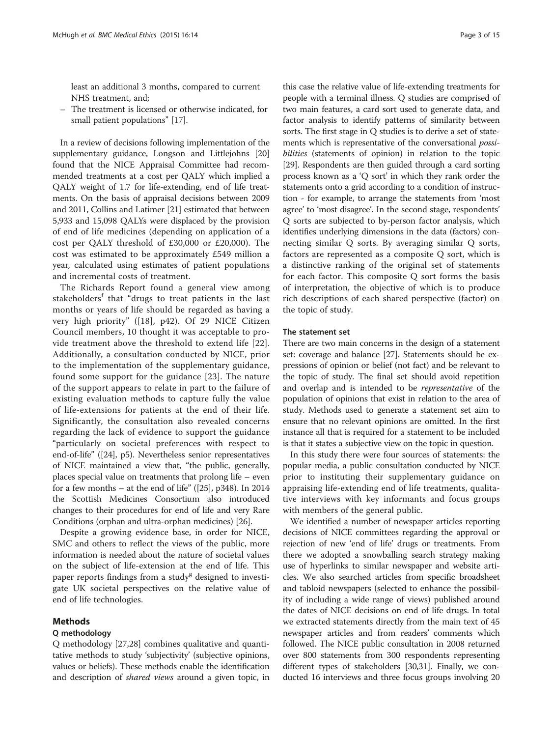least an additional 3 months, compared to current NHS treatment, and;

– The treatment is licensed or otherwise indicated, for small patient populations" [[17](#page-14-0)].

In a review of decisions following implementation of the supplementary guidance, Longson and Littlejohns [[20](#page-14-0)] found that the NICE Appraisal Committee had recommended treatments at a cost per QALY which implied a QALY weight of 1.7 for life-extending, end of life treatments. On the basis of appraisal decisions between 2009 and 2011, Collins and Latimer [\[21\]](#page-14-0) estimated that between 5,933 and 15,098 QALYs were displaced by the provision of end of life medicines (depending on application of a cost per QALY threshold of £30,000 or £20,000). The cost was estimated to be approximately £549 million a year, calculated using estimates of patient populations and incremental costs of treatment.

The Richards Report found a general view among stakeholders<sup>f</sup> that "drugs to treat patients in the last months or years of life should be regarded as having a very high priority" ([\[18\]](#page-14-0), p42). Of 29 NICE Citizen Council members, 10 thought it was acceptable to provide treatment above the threshold to extend life [[22](#page-14-0)]. Additionally, a consultation conducted by NICE, prior to the implementation of the supplementary guidance, found some support for the guidance [[23\]](#page-14-0). The nature of the support appears to relate in part to the failure of existing evaluation methods to capture fully the value of life-extensions for patients at the end of their life. Significantly, the consultation also revealed concerns regarding the lack of evidence to support the guidance "particularly on societal preferences with respect to end-of-life" ([\[24](#page-14-0)], p5). Nevertheless senior representatives of NICE maintained a view that, "the public, generally, places special value on treatments that prolong life – even for a few months – at the end of life"  $(25)$  $(25)$  $(25)$ , p348). In 2014 the Scottish Medicines Consortium also introduced changes to their procedures for end of life and very Rare Conditions (orphan and ultra-orphan medicines) [\[26\]](#page-14-0).

Despite a growing evidence base, in order for NICE, SMC and others to reflect the views of the public, more information is needed about the nature of societal values on the subject of life-extension at the end of life. This paper reports findings from a study<sup>g</sup> designed to investigate UK societal perspectives on the relative value of end of life technologies.

## Methods

## Q methodology

Q methodology [\[27,28\]](#page-14-0) combines qualitative and quantitative methods to study 'subjectivity' (subjective opinions, values or beliefs). These methods enable the identification and description of shared views around a given topic, in

this case the relative value of life-extending treatments for people with a terminal illness. Q studies are comprised of two main features, a card sort used to generate data, and factor analysis to identify patterns of similarity between sorts. The first stage in Q studies is to derive a set of statements which is representative of the conversational possibilities (statements of opinion) in relation to the topic [[29](#page-14-0)]. Respondents are then guided through a card sorting process known as a 'Q sort' in which they rank order the statements onto a grid according to a condition of instruction - for example, to arrange the statements from 'most agree' to 'most disagree'. In the second stage, respondents' Q sorts are subjected to by-person factor analysis, which identifies underlying dimensions in the data (factors) connecting similar Q sorts. By averaging similar Q sorts, factors are represented as a composite Q sort, which is a distinctive ranking of the original set of statements for each factor. This composite Q sort forms the basis of interpretation, the objective of which is to produce rich descriptions of each shared perspective (factor) on the topic of study.

#### The statement set

There are two main concerns in the design of a statement set: coverage and balance [[27](#page-14-0)]. Statements should be expressions of opinion or belief (not fact) and be relevant to the topic of study. The final set should avoid repetition and overlap and is intended to be representative of the population of opinions that exist in relation to the area of study. Methods used to generate a statement set aim to ensure that no relevant opinions are omitted. In the first instance all that is required for a statement to be included is that it states a subjective view on the topic in question.

In this study there were four sources of statements: the popular media, a public consultation conducted by NICE prior to instituting their supplementary guidance on appraising life-extending end of life treatments, qualitative interviews with key informants and focus groups with members of the general public.

We identified a number of newspaper articles reporting decisions of NICE committees regarding the approval or rejection of new 'end of life' drugs or treatments. From there we adopted a snowballing search strategy making use of hyperlinks to similar newspaper and website articles. We also searched articles from specific broadsheet and tabloid newspapers (selected to enhance the possibility of including a wide range of views) published around the dates of NICE decisions on end of life drugs. In total we extracted statements directly from the main text of 45 newspaper articles and from readers' comments which followed. The NICE public consultation in 2008 returned over 800 statements from 300 respondents representing different types of stakeholders [\[30,31\]](#page-14-0). Finally, we conducted 16 interviews and three focus groups involving 20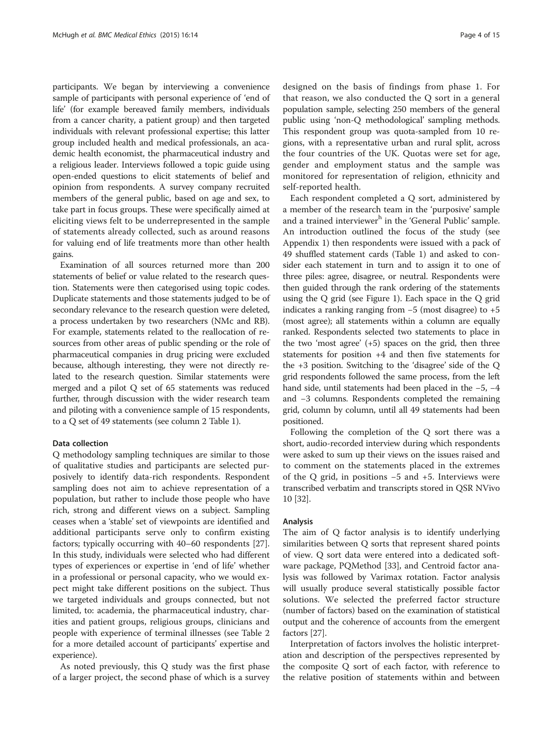participants. We began by interviewing a convenience sample of participants with personal experience of 'end of life' (for example bereaved family members, individuals from a cancer charity, a patient group) and then targeted individuals with relevant professional expertise; this latter group included health and medical professionals, an academic health economist, the pharmaceutical industry and a religious leader. Interviews followed a topic guide using open-ended questions to elicit statements of belief and opinion from respondents. A survey company recruited members of the general public, based on age and sex, to take part in focus groups. These were specifically aimed at eliciting views felt to be underrepresented in the sample of statements already collected, such as around reasons for valuing end of life treatments more than other health gains.

Examination of all sources returned more than 200 statements of belief or value related to the research question. Statements were then categorised using topic codes. Duplicate statements and those statements judged to be of secondary relevance to the research question were deleted, a process undertaken by two researchers (NMc and RB). For example, statements related to the reallocation of resources from other areas of public spending or the role of pharmaceutical companies in drug pricing were excluded because, although interesting, they were not directly related to the research question. Similar statements were merged and a pilot Q set of 65 statements was reduced further, through discussion with the wider research team and piloting with a convenience sample of 15 respondents, to a Q set of 49 statements (see column 2 Table [1](#page-4-0)).

## Data collection

Q methodology sampling techniques are similar to those of qualitative studies and participants are selected purposively to identify data-rich respondents. Respondent sampling does not aim to achieve representation of a population, but rather to include those people who have rich, strong and different views on a subject. Sampling ceases when a 'stable' set of viewpoints are identified and additional participants serve only to confirm existing factors; typically occurring with 40–60 respondents [\[27](#page-14-0)]. In this study, individuals were selected who had different types of experiences or expertise in 'end of life' whether in a professional or personal capacity, who we would expect might take different positions on the subject. Thus we targeted individuals and groups connected, but not limited, to: academia, the pharmaceutical industry, charities and patient groups, religious groups, clinicians and people with experience of terminal illnesses (see Table [2](#page-6-0) for a more detailed account of participants' expertise and experience).

As noted previously, this Q study was the first phase of a larger project, the second phase of which is a survey

designed on the basis of findings from phase 1. For that reason, we also conducted the Q sort in a general population sample, selecting 250 members of the general public using 'non-Q methodological' sampling methods. This respondent group was quota-sampled from 10 regions, with a representative urban and rural split, across the four countries of the UK. Quotas were set for age, gender and employment status and the sample was monitored for representation of religion, ethnicity and self-reported health.

Each respondent completed a Q sort, administered by a member of the research team in the 'purposive' sample and a trained interviewer<sup>h</sup> in the 'General Public' sample. An introduction outlined the focus of the study (see [Appendix 1\)](#page-13-0) then respondents were issued with a pack of 49 shuffled statement cards (Table [1](#page-4-0)) and asked to consider each statement in turn and to assign it to one of three piles: agree, disagree, or neutral. Respondents were then guided through the rank ordering of the statements using the Q grid (see Figure [1\)](#page-7-0). Each space in the Q grid indicates a ranking ranging from −5 (most disagree) to +5 (most agree); all statements within a column are equally ranked. Respondents selected two statements to place in the two 'most agree'  $(+5)$  spaces on the grid, then three statements for position +4 and then five statements for the +3 position. Switching to the 'disagree' side of the Q grid respondents followed the same process, from the left hand side, until statements had been placed in the −5, −4 and −3 columns. Respondents completed the remaining grid, column by column, until all 49 statements had been positioned.

Following the completion of the Q sort there was a short, audio-recorded interview during which respondents were asked to sum up their views on the issues raised and to comment on the statements placed in the extremes of the Q grid, in positions −5 and +5. Interviews were transcribed verbatim and transcripts stored in QSR NVivo 10 [\[32\]](#page-14-0).

#### Analysis

The aim of Q factor analysis is to identify underlying similarities between Q sorts that represent shared points of view. Q sort data were entered into a dedicated software package, PQMethod [\[33](#page-14-0)], and Centroid factor analysis was followed by Varimax rotation. Factor analysis will usually produce several statistically possible factor solutions. We selected the preferred factor structure (number of factors) based on the examination of statistical output and the coherence of accounts from the emergent factors [\[27\]](#page-14-0).

Interpretation of factors involves the holistic interpretation and description of the perspectives represented by the composite Q sort of each factor, with reference to the relative position of statements within and between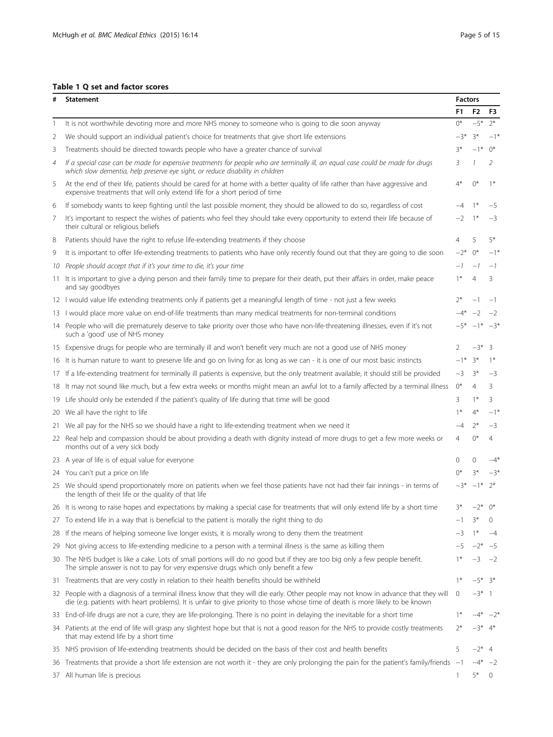# <span id="page-4-0"></span>Table 1 Q set and factor scores

| #              | <b>Factors</b><br><b>Statement</b>                                                                                                                                                                                                                                    |              |                            |        |
|----------------|-----------------------------------------------------------------------------------------------------------------------------------------------------------------------------------------------------------------------------------------------------------------------|--------------|----------------------------|--------|
|                |                                                                                                                                                                                                                                                                       | F1           | F <sub>2</sub>             | F3     |
| 1              | It is not worthwhile devoting more and more NHS money to someone who is going to die soon anyway                                                                                                                                                                      | $()^*$       | $-5*$                      | $2^*$  |
| 2              | We should support an individual patient's choice for treatments that give short life extensions                                                                                                                                                                       | $-3*$        | $3*$                       | $-1*$  |
| 3              | Treatments should be directed towards people who have a greater chance of survival                                                                                                                                                                                    | 3*           | $-1*$                      | $()^*$ |
| $\overline{4}$ | If a special case can be made for expensive treatments for people who are terminally ill, an equal case could be made for drugs<br>which slow dementia, help preserve eye sight, or reduce disability in children                                                     | 3            | $\mathcal{I}$              | 2      |
| 5              | At the end of their life, patients should be cared for at home with a better quality of life rather than have aggressive and<br>expensive treatments that will only extend life for a short period of time                                                            | 4*           | $0^*$                      | $1*$   |
| 6              | If somebody wants to keep fighting until the last possible moment, they should be allowed to do so, regardless of cost                                                                                                                                                | -4           | $1*$                       | $-5$   |
| 7              | It's important to respect the wishes of patients who feel they should take every opportunity to extend their life because of<br>their cultural or religious beliefs                                                                                                   | $-2$         | $1^*$                      | $-3$   |
| 8              | Patients should have the right to refuse life-extending treatments if they choose                                                                                                                                                                                     | 4            | 5                          | 5*     |
| 9              | It is important to offer life-extending treatments to patients who have only recently found out that they are going to die soon                                                                                                                                       | $-2*$        | $0^*$                      | $-1*$  |
| 10             | People should accept that if it's your time to die, it's your time                                                                                                                                                                                                    | $-1$         | $-1$                       | $-1$   |
| 11.            | It is important to give a dying person and their family time to prepare for their death, put their affairs in order, make peace<br>and say goodbyes                                                                                                                   | $1*$         | $\overline{4}$             | 3      |
|                | 12 I would value life extending treatments only if patients get a meaningful length of time - not just a few weeks                                                                                                                                                    | $2^*$        | $-1$                       | $-1$   |
|                | 13 I would place more value on end-of-life treatments than many medical treatments for non-terminal conditions                                                                                                                                                        | $-4*$        | $-2$                       | $-2$   |
|                | 14 People who will die prematurely deserve to take priority over those who have non-life-threatening illnesses, even if it's not<br>such a 'good' use of NHS money                                                                                                    |              | $-5^{*}$ $-1^{*}$ $-3^{*}$ |        |
|                | 15 Expensive drugs for people who are terminally ill and won't benefit very much are not a good use of NHS money                                                                                                                                                      | 2            | $-3*$                      | 3      |
|                | 16 It is human nature to want to preserve life and go on living for as long as we can - it is one of our most basic instincts                                                                                                                                         | $-1*$        | $3*$                       | $1*$   |
|                | 17 If a life-extending treatment for terminally ill patients is expensive, but the only treatment available, it should still be provided                                                                                                                              | $-3$         | $3*$                       | $-3$   |
|                | 18 It may not sound like much, but a few extra weeks or months might mean an awful lot to a family affected by a terminal illness                                                                                                                                     | $0^*$        | 4                          | 3      |
| 19             | Life should only be extended if the patient's quality of life during that time will be good                                                                                                                                                                           | 3            | $1*$                       | 3      |
| 20             | We all have the right to life                                                                                                                                                                                                                                         | $1*$         | $4*$                       | $-1*$  |
|                | 21 We all pay for the NHS so we should have a right to life-extending treatment when we need it                                                                                                                                                                       | -4           | $2^*$                      | $-3$   |
| 22.            | Real help and compassion should be about providing a death with dignity instead of more drugs to get a few more weeks or<br>months out of a very sick body                                                                                                            | 4            | $0^*$                      | 4      |
|                | 23 A year of life is of equal value for everyone                                                                                                                                                                                                                      | $\mathbf{0}$ | $\mathbf{0}$               | $-4*$  |
|                | 24 You can't put a price on life                                                                                                                                                                                                                                      | $0^*$        | $3*$                       | $-3*$  |
|                | 25 We should spend proportionately more on patients when we feel those patients have not had their fair innings - in terms of<br>the length of their life or the quality of that life                                                                                 | $-3*$        | $-1*$                      | $2^*$  |
|                | 26 It is wrong to raise hopes and expectations by making a special case for treatments that will only extend life by a short time                                                                                                                                     | 3*           | $-2^*$ 0 <sup>*</sup>      |        |
|                | 27 To extend life in a way that is beneficial to the patient is morally the right thing to do                                                                                                                                                                         |              | 3*                         | 0      |
|                | 28 If the means of helping someone live longer exists, it is morally wrong to deny them the treatment                                                                                                                                                                 | -3           | $1*$                       | $-4$   |
| 29             | Not giving access to life-extending medicine to a person with a terminal illness is the same as killing them                                                                                                                                                          | -5           | $-2*$                      | $-5$   |
|                | 30 The NHS budget is like a cake. Lots of small portions will do no good but if they are too big only a few people benefit.<br>The simple answer is not to pay for very expensive drugs which only benefit a few                                                      | $1*$         | $-3$                       | $-2$   |
|                | 31 Treatments that are very costly in relation to their health benefits should be withheld                                                                                                                                                                            | $1*$         | $-5*3*$                    |        |
|                | 32 People with a diagnosis of a terminal illness know that they will die early. Other people may not know in advance that they will<br>die (e.g. patients with heart problems). It is unfair to give priority to those whose time of death is more likely to be known | 0            | $-3^{*}$ 1                 |        |
|                | 33 End-of-life drugs are not a cure, they are life-prolonging. There is no point in delaying the inevitable for a short time                                                                                                                                          | $1*$         | $-4*$                      | $-2*$  |
|                | 34 Patients at the end of life will grasp any slightest hope but that is not a good reason for the NHS to provide costly treatments<br>that may extend life by a short time                                                                                           | $2*$         | $-3^{*}$                   | $4^*$  |
| 35             | NHS provision of life-extending treatments should be decided on the basis of their cost and health benefits                                                                                                                                                           | 5            | $-2^*$ 4                   |        |
| 36             | Treatments that provide a short life extension are not worth it - they are only prolonging the pain for the patient's family/friends -1                                                                                                                               |              | $-4^{*}$                   | $-2$   |
|                | 37 All human life is precious                                                                                                                                                                                                                                         | 1            | 5*                         | 0      |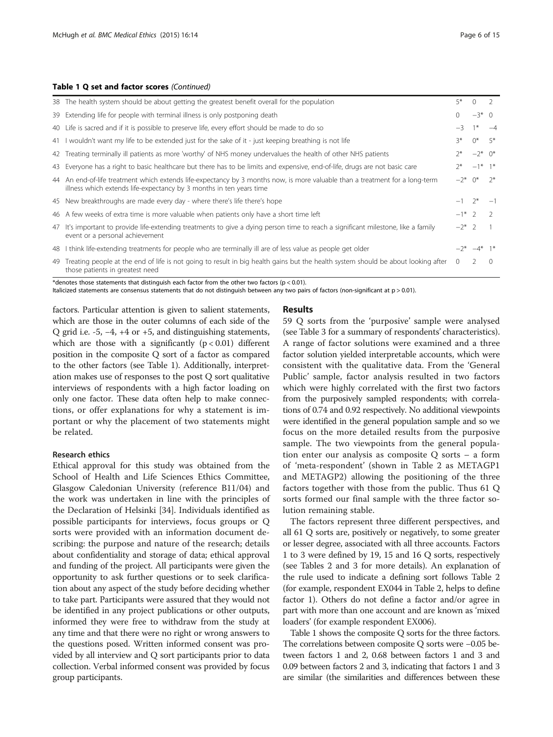#### Table 1 Q set and factor scores (Continued)

|    | 38 The health system should be about getting the greatest benefit overall for the population                                                                                                        | $5*$                  | $\Omega$                           |          |
|----|-----------------------------------------------------------------------------------------------------------------------------------------------------------------------------------------------------|-----------------------|------------------------------------|----------|
| 39 | Extending life for people with terminal illness is only postponing death                                                                                                                            | $\Omega$              | $-3^*$ 0                           |          |
|    | 40 Life is sacred and if it is possible to preserve life, every effort should be made to do so                                                                                                      | $-3$                  | $1*$                               | $-4$     |
|    | 41 I wouldn't want my life to be extended just for the sake of it - just keeping breathing is not life                                                                                              | ₹?                    | $0^*$                              | 5*       |
|    | 42 Treating terminally ill patients as more 'worthy' of NHS money undervalues the health of other NHS patients                                                                                      | $2^*$                 | $-2^*$ 0 <sup>*</sup>              |          |
|    | 43 Everyone has a right to basic healthcare but there has to be limits and expensive, end-of-life, drugs are not basic care                                                                         | フォ                    | $-1$ <sup>*</sup> $1$ <sup>*</sup> |          |
|    | 44 An end-of-life treatment which extends life-expectancy by 3 months now, is more valuable than a treatment for a long-term<br>illness which extends life-expectancy by 3 months in ten years time | $-2^*$ 0 <sup>*</sup> |                                    | $7^*$    |
|    | 45 New breakthroughs are made every day - where there's life there's hope                                                                                                                           | $-1$ $2^*$            |                                    | $-1$     |
|    | 46 A few weeks of extra time is more valuable when patients only have a short time left                                                                                                             | $-1$ * 2              |                                    |          |
| 47 | It's important to provide life-extending treatments to give a dying person time to reach a significant milestone, like a family<br>event or a personal achievement                                  | $-2^*$ 2              |                                    |          |
| 48 | I think life-extending treatments for people who are terminally ill are of less value as people get older                                                                                           | $-2^{*}$              |                                    |          |
| 49 | Treating people at the end of life is not going to result in big health gains but the health system should be about looking after<br>those patients in greatest need                                | $\Omega$              |                                    | $\Omega$ |

\*denotes those statements that distinguish each factor from the other two factors (p < 0.01).

Italicized statements are consensus statements that do not distinguish between any two pairs of factors (non-significant at p > 0.01).

factors. Particular attention is given to salient statements, which are those in the outer columns of each side of the Q grid i.e. -5, −4, +4 or +5, and distinguishing statements, which are those with a significantly  $(p < 0.01)$  different position in the composite Q sort of a factor as compared to the other factors (see Table [1\)](#page-4-0). Additionally, interpretation makes use of responses to the post Q sort qualitative interviews of respondents with a high factor loading on only one factor. These data often help to make connections, or offer explanations for why a statement is important or why the placement of two statements might be related.

#### Research ethics

Ethical approval for this study was obtained from the School of Health and Life Sciences Ethics Committee, Glasgow Caledonian University (reference B11/04) and the work was undertaken in line with the principles of the Declaration of Helsinki [[34](#page-14-0)]. Individuals identified as possible participants for interviews, focus groups or Q sorts were provided with an information document describing: the purpose and nature of the research; details about confidentiality and storage of data; ethical approval and funding of the project. All participants were given the opportunity to ask further questions or to seek clarification about any aspect of the study before deciding whether to take part. Participants were assured that they would not be identified in any project publications or other outputs, informed they were free to withdraw from the study at any time and that there were no right or wrong answers to the questions posed. Written informed consent was provided by all interview and Q sort participants prior to data collection. Verbal informed consent was provided by focus group participants.

#### Results

59 Q sorts from the 'purposive' sample were analysed (see Table [3](#page-8-0) for a summary of respondents' characteristics). A range of factor solutions were examined and a three factor solution yielded interpretable accounts, which were consistent with the qualitative data. From the 'General Public' sample, factor analysis resulted in two factors which were highly correlated with the first two factors from the purposively sampled respondents; with correlations of 0.74 and 0.92 respectively. No additional viewpoints were identified in the general population sample and so we focus on the more detailed results from the purposive sample. The two viewpoints from the general population enter our analysis as composite Q sorts – a form of 'meta-respondent' (shown in Table [2](#page-6-0) as METAGP1 and METAGP2) allowing the positioning of the three factors together with those from the public. Thus 61 Q sorts formed our final sample with the three factor solution remaining stable.

The factors represent three different perspectives, and all 61 Q sorts are, positively or negatively, to some greater or lesser degree, associated with all three accounts. Factors 1 to 3 were defined by 19, 15 and 16 Q sorts, respectively (see Tables [2](#page-6-0) and [3](#page-8-0) for more details). An explanation of the rule used to indicate a defining sort follows Table [2](#page-6-0) (for example, respondent EX044 in Table [2,](#page-6-0) helps to define factor 1). Others do not define a factor and/or agree in part with more than one account and are known as 'mixed loaders' (for example respondent EX006).

Table [1](#page-4-0) shows the composite Q sorts for the three factors. The correlations between composite Q sorts were −0.05 between factors 1 and 2, 0.68 between factors 1 and 3 and 0.09 between factors 2 and 3, indicating that factors 1 and 3 are similar (the similarities and differences between these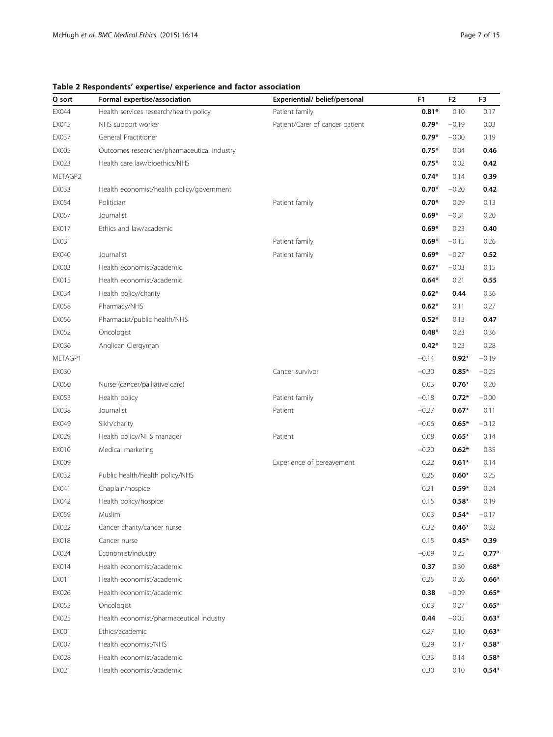| Q sort  | Formal expertise/association                | Experiential/ belief/personal   | F <sub>1</sub> | F <sub>2</sub> | F3      |
|---------|---------------------------------------------|---------------------------------|----------------|----------------|---------|
| EX044   | Health services research/health policy      | Patient family                  | $0.81*$        | 0.10           | 0.17    |
| EX045   | NHS support worker                          | Patient/Carer of cancer patient | $0.79*$        | $-0.19$        | 0.03    |
| EX037   | General Practitioner                        |                                 | $0.79*$        | $-0.00$        | 0.19    |
| EX005   | Outcomes researcher/pharmaceutical industry |                                 | $0.75*$        | 0.04           | 0.46    |
| EX023   | Health care law/bioethics/NHS               |                                 | $0.75*$        | 0.02           | 0.42    |
| METAGP2 |                                             |                                 | $0.74*$        | 0.14           | 0.39    |
| EX033   | Health economist/health policy/government   |                                 | $0.70*$        | $-0.20$        | 0.42    |
| EX054   | Politician                                  | Patient family                  | $0.70*$        | 0.29           | 0.13    |
| EX057   | Journalist                                  |                                 | $0.69*$        | $-0.31$        | 0.20    |
| EX017   | Ethics and law/academic                     |                                 | $0.69*$        | 0.23           | 0.40    |
| EX031   |                                             | Patient family                  | $0.69*$        | $-0.15$        | 0.26    |
| EX040   | Journalist                                  | Patient family                  | $0.69*$        | $-0.27$        | 0.52    |
| EX003   | Health economist/academic                   |                                 | $0.67*$        | $-0.03$        | 0.15    |
| EX015   | Health economist/academic                   |                                 | $0.64*$        | 0.21           | 0.55    |
| EX034   | Health policy/charity                       |                                 | $0.62*$        | 0.44           | 0.36    |
| EX058   | Pharmacy/NHS                                |                                 | $0.62*$        | 0.11           | 0.27    |
| EX056   | Pharmacist/public health/NHS                |                                 | $0.52*$        | 0.13           | 0.47    |
| EX052   | Oncologist                                  |                                 | $0.48*$        | 0.23           | 0.36    |
| EX036   | Anglican Clergyman                          |                                 | $0.42*$        | 0.23           | 0.28    |
| METAGP1 |                                             |                                 | $-0.14$        | $0.92*$        | $-0.19$ |
| EX030   |                                             | Cancer survivor                 | $-0.30$        | $0.85*$        | $-0.25$ |
| EX050   | Nurse (cancer/palliative care)              |                                 | 0.03           | $0.76*$        | 0.20    |
| EX053   | Health policy                               | Patient family                  | $-0.18$        | $0.72*$        | $-0.00$ |
| EX038   | Journalist                                  | Patient                         | $-0.27$        | $0.67*$        | 0.11    |
| EX049   | Sikh/charity                                |                                 | $-0.06$        | $0.65*$        | $-0.12$ |
| EX029   | Health policy/NHS manager                   | Patient                         | 0.08           | $0.65*$        | 0.14    |
| EX010   | Medical marketing                           |                                 | $-0.20$        | $0.62*$        | 0.35    |
| EX009   |                                             | Experience of bereavement       | 0.22           | $0.61*$        | 0.14    |
| EX032   | Public health/health policy/NHS             |                                 | 0.25           | $0.60*$        | 0.25    |
| EX041   | Chaplain/hospice                            |                                 | 0.21           | $0.59*$        | 0.24    |
| EX042   | Health policy/hospice                       |                                 | 0.15           | $0.58*$        | 0.19    |
| EX059   | Muslim                                      |                                 | 0.03           | $0.54*$        | $-0.17$ |
| EX022   | Cancer charity/cancer nurse                 |                                 | 0.32           | $0.46*$        | 0.32    |
| EX018   | Cancer nurse                                |                                 | 0.15           | $0.45*$        | 0.39    |
| EX024   | Economist/industry                          |                                 | $-0.09$        | 0.25           | $0.77*$ |
| EX014   | Health economist/academic                   |                                 | 0.37           | 0.30           | $0.68*$ |
| EX011   | Health economist/academic                   |                                 | 0.25           | 0.26           | $0.66*$ |
| EX026   | Health economist/academic                   |                                 | 0.38           | $-0.09$        | $0.65*$ |
| EX055   | Oncologist                                  |                                 | 0.03           | 0.27           | $0.65*$ |
| EX025   | Health economist/pharmaceutical industry    |                                 | 0.44           | $-0.05$        | $0.63*$ |
| EX001   | Ethics/academic                             |                                 | 0.27           | 0.10           | $0.63*$ |
| EX007   | Health economist/NHS                        |                                 | 0.29           | 0.17           | $0.58*$ |
| EX028   | Health economist/academic                   |                                 | 0.33           | 0.14           | $0.58*$ |
| EX021   | Health economist/academic                   |                                 | 0.30           | 0.10           | $0.54*$ |

<span id="page-6-0"></span>Table 2 Respondents' expertise/ experience and factor association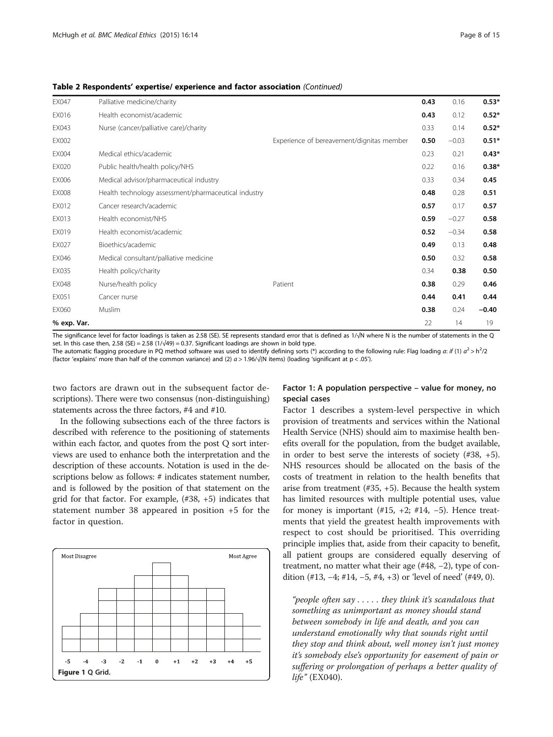| EX047       | Palliative medicine/charity                          |                                           | 0.43 | 0.16    | $0.53*$ |
|-------------|------------------------------------------------------|-------------------------------------------|------|---------|---------|
| EX016       | Health economist/academic                            |                                           | 0.43 | 0.12    | $0.52*$ |
| EX043       | Nurse (cancer/palliative care)/charity               |                                           | 0.33 | 0.14    | $0.52*$ |
| EX002       |                                                      | Experience of bereavement/dignitas member | 0.50 | $-0.03$ | $0.51*$ |
| EX004       | Medical ethics/academic                              |                                           | 0.23 | 0.21    | $0.43*$ |
| EX020       | Public health/health policy/NHS                      |                                           | 0.22 | 0.16    | $0.38*$ |
| EX006       | Medical advisor/pharmaceutical industry              |                                           | 0.33 | 0.34    | 0.45    |
| EX008       | Health technology assessment/pharmaceutical industry |                                           | 0.48 | 0.28    | 0.51    |
| EX012       | Cancer research/academic                             |                                           | 0.57 | 0.17    | 0.57    |
| EX013       | Health economist/NHS                                 |                                           | 0.59 | $-0.27$ | 0.58    |
| EX019       | Health economist/academic                            |                                           | 0.52 | $-0.34$ | 0.58    |
| EX027       | Bioethics/academic                                   |                                           | 0.49 | 0.13    | 0.48    |
| EX046       | Medical consultant/palliative medicine               |                                           | 0.50 | 0.32    | 0.58    |
| EX035       | Health policy/charity                                |                                           | 0.34 | 0.38    | 0.50    |
| EX048       | Nurse/health policy                                  | Patient                                   | 0.38 | 0.29    | 0.46    |
| EX051       | Cancer nurse                                         |                                           | 0.44 | 0.41    | 0.44    |
| EX060       | Muslim                                               |                                           | 0.38 | 0.24    | $-0.40$ |
| % exp. Var. |                                                      |                                           | 22   | 14      | 19      |

<span id="page-7-0"></span>Table 2 Respondents' expertise/ experience and factor association (Continued)

The significance level for factor loadings is taken as 2.58 (SE). SE represents standard error that is defined as 1/√N where N is the number of statements in the Q set. In this case then, 2.58 (SE) = 2.58 (1/ $\sqrt{49}$ ) = 0.37. Significant loadings are shown in bold type

The automatic flagging procedure in PQ method software was used to identify defining sorts (\*) according to the following rule: Flag loading a: if (1)  $a^2 > h^2/2$ (factor 'explains' more than half of the common variance) and (2)  $a > 1.96/\sqrt{N}$  items) (loading 'significant at p < .05').

two factors are drawn out in the subsequent factor descriptions). There were two consensus (non-distinguishing) statements across the three factors, #4 and #10.

In the following subsections each of the three factors is described with reference to the positioning of statements within each factor, and quotes from the post Q sort interviews are used to enhance both the interpretation and the description of these accounts. Notation is used in the descriptions below as follows: # indicates statement number, and is followed by the position of that statement on the grid for that factor. For example, (#38, +5) indicates that statement number 38 appeared in position +5 for the factor in question.



# Factor 1: A population perspective – value for money, no special cases

Factor 1 describes a system-level perspective in which provision of treatments and services within the National Health Service (NHS) should aim to maximise health benefits overall for the population, from the budget available, in order to best serve the interests of society (#38, +5). NHS resources should be allocated on the basis of the costs of treatment in relation to the health benefits that arise from treatment (#35, +5). Because the health system has limited resources with multiple potential uses, value for money is important  $(\#15, +2; \#14, -5)$ . Hence treatments that yield the greatest health improvements with respect to cost should be prioritised. This overriding principle implies that, aside from their capacity to benefit, all patient groups are considered equally deserving of treatment, no matter what their age (#48, −2), type of condition (#13,  $-4$ ; #14,  $-5$ , #4,  $+3$ ) or 'level of need' (#49, 0).

"people often say . . . . . they think it's scandalous that something as unimportant as money should stand between somebody in life and death, and you can understand emotionally why that sounds right until they stop and think about, well money isn't just money it's somebody else's opportunity for easement of pain or suffering or prolongation of perhaps a better quality of life" (EX040).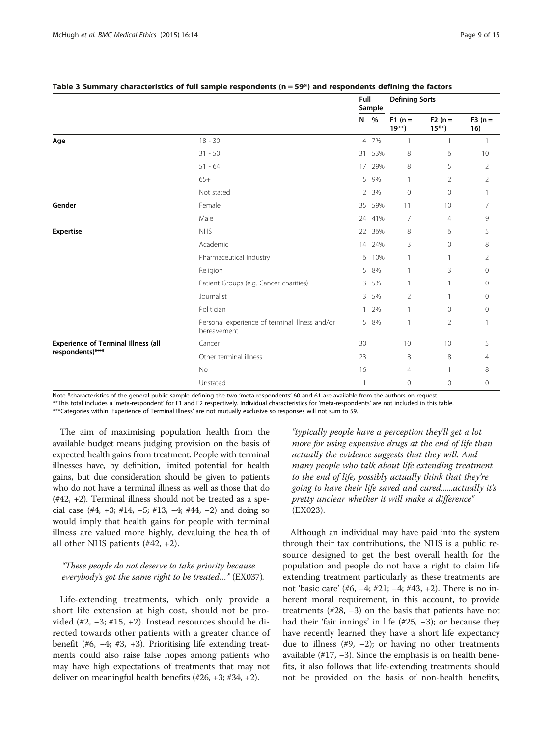|                                            |                                                               | Full           | Sample | <b>Defining Sorts</b> |                    |                |
|--------------------------------------------|---------------------------------------------------------------|----------------|--------|-----------------------|--------------------|----------------|
|                                            |                                                               |                | N %    | $F1(n=$<br>$19***$    | $F2(n=$<br>$15***$ | $F3(n=$<br>16) |
| Age                                        | $18 - 30$                                                     |                | 4 7%   | $\mathbf{1}$          | $\mathbf{1}$       | $\mathbf{1}$   |
|                                            | $31 - 50$                                                     | 31             | 53%    | 8                     | 6                  | 10             |
|                                            | $51 - 64$                                                     | 17             | 29%    | 8                     | 5                  | $\overline{2}$ |
|                                            | $65+$                                                         | 5              | 9%     | $\mathbf{1}$          | $\overline{2}$     | 2              |
|                                            | Not stated                                                    | $\overline{2}$ | 3%     | $\mathbf{0}$          | $\mathbf{0}$       | 1              |
| Gender                                     | Female                                                        | 35             | 59%    | 11                    | 10                 | 7              |
|                                            | Male                                                          | 24             | 41%    | $\overline{7}$        | 4                  | 9              |
| <b>Expertise</b>                           | <b>NHS</b>                                                    | 22             | 36%    | 8                     | 6                  | 5              |
|                                            | Academic                                                      | 14             | 24%    | 3                     | $\mathbf{0}$       | 8              |
|                                            | Pharmaceutical Industry                                       | 6              | 10%    | $\mathbf{1}$          | 1                  | $\overline{2}$ |
|                                            | Religion                                                      | 5              | 8%     | $\mathbf{1}$          | 3                  | $\mathbf{0}$   |
|                                            | Patient Groups (e.g. Cancer charities)                        | 3              | 5%     | $\mathbf{1}$          |                    | 0              |
|                                            | Journalist                                                    |                | 3 5%   | $\overline{2}$        | 1                  | $\circ$        |
|                                            | Politician                                                    | $\mathbf{1}$   | 2%     | $\mathbf{1}$          | 0                  | $\circ$        |
|                                            | Personal experience of terminal illness and/or<br>bereavement |                | 5 8%   | $\mathbf{1}$          | $\overline{2}$     | 1              |
| <b>Experience of Terminal Illness (all</b> | Cancer                                                        | 30             |        | 10                    | 10                 | 5              |
| respondents)***                            | Other terminal illness                                        | 23             |        | 8                     | 8                  | 4              |
|                                            | No                                                            | 16             |        | $\overline{4}$        | $\mathbf{1}$       | 8              |
|                                            | Unstated                                                      | 1              |        | $\mathbf{0}$          | $\mathbf 0$        | $\mathbf 0$    |

#### <span id="page-8-0"></span>Table 3 Summary characteristics of full sample respondents (n = 59\*) and respondents defining the factors

Note \*characteristics of the general public sample defining the two 'meta-respondents' 60 and 61 are available from the authors on request. \*\*This total includes a 'meta-respondent' for F1 and F2 respectively. Individual characteristics for 'meta-respondents' are not included in this table. \*\*\*Categories within 'Experience of Terminal Illness' are not mutually exclusive so responses will not sum to 59.

The aim of maximising population health from the available budget means judging provision on the basis of expected health gains from treatment. People with terminal illnesses have, by definition, limited potential for health gains, but due consideration should be given to patients who do not have a terminal illness as well as those that do  $(442, +2)$ . Terminal illness should not be treated as a special case (#4, +3; #14, −5; #13, −4; #44, −2) and doing so would imply that health gains for people with terminal illness are valued more highly, devaluing the health of all other NHS patients (#42, +2).

# "These people do not deserve to take priority because everybody's got the same right to be treated…" (EX037).

Life-extending treatments, which only provide a short life extension at high cost, should not be provided (#2, −3; #15, +2). Instead resources should be directed towards other patients with a greater chance of benefit (#6, −4; #3, +3). Prioritising life extending treatments could also raise false hopes among patients who may have high expectations of treatments that may not deliver on meaningful health benefits (#26, +3; #34, +2).

"typically people have a perception they'll get a lot more for using expensive drugs at the end of life than actually the evidence suggests that they will. And many people who talk about life extending treatment to the end of life, possibly actually think that they're going to have their life saved and cured......actually it's pretty unclear whether it will make a difference" (EX023).

Although an individual may have paid into the system through their tax contributions, the NHS is a public resource designed to get the best overall health for the population and people do not have a right to claim life extending treatment particularly as these treatments are not 'basic care' (#6, −4; #21; −4; #43, +2). There is no inherent moral requirement, in this account, to provide treatments (#28, −3) on the basis that patients have not had their 'fair innings' in life (#25, −3); or because they have recently learned they have a short life expectancy due to illness (#9, −2); or having no other treatments available (#17, −3). Since the emphasis is on health benefits, it also follows that life-extending treatments should not be provided on the basis of non-health benefits,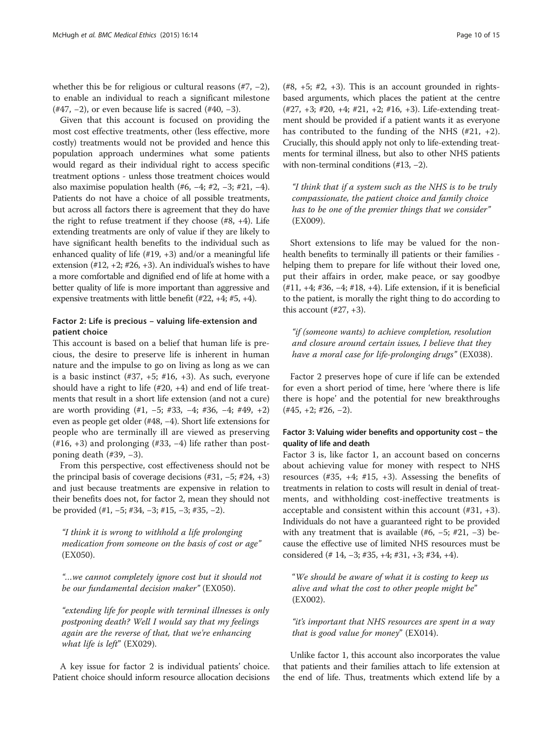whether this be for religious or cultural reasons (#7, −2), to enable an individual to reach a significant milestone (#47,  $-2$ ), or even because life is sacred (#40,  $-3$ ).

Given that this account is focused on providing the most cost effective treatments, other (less effective, more costly) treatments would not be provided and hence this population approach undermines what some patients would regard as their individual right to access specific treatment options - unless those treatment choices would also maximise population health (#6,  $-4$ ; #2,  $-3$ ; #21,  $-4$ ). Patients do not have a choice of all possible treatments, but across all factors there is agreement that they do have the right to refuse treatment if they choose  $(\#8, +4)$ . Life extending treatments are only of value if they are likely to have significant health benefits to the individual such as enhanced quality of life  $(\#19, +3)$  and/or a meaningful life extension  $(\#12, +2; \#26, +3)$ . An individual's wishes to have a more comfortable and dignified end of life at home with a better quality of life is more important than aggressive and expensive treatments with little benefit (#22, +4; #5, +4).

# Factor 2: Life is precious – valuing life-extension and patient choice

This account is based on a belief that human life is precious, the desire to preserve life is inherent in human nature and the impulse to go on living as long as we can is a basic instinct  $(#37, +5; #16, +3)$ . As such, everyone should have a right to life (#20, +4) and end of life treatments that result in a short life extension (and not a cure) are worth providing (#1, −5; #33, −4; #36, −4; #49, +2) even as people get older (#48, −4). Short life extensions for people who are terminally ill are viewed as preserving (#16, +3) and prolonging (#33, −4) life rather than postponing death (#39, −3).

From this perspective, cost effectiveness should not be the principal basis of coverage decisions (#31, −5; #24, +3) and just because treatments are expensive in relation to their benefits does not, for factor 2, mean they should not be provided (#1, −5; #34, −3; #15, −3; #35, −2).

"I think it is wrong to withhold a life prolonging medication from someone on the basis of cost or age" (EX050).

"…we cannot completely ignore cost but it should not be our fundamental decision maker" (EX050).

"extending life for people with terminal illnesses is only postponing death? Well I would say that my feelings again are the reverse of that, that we're enhancing what life is left" (EX029).

A key issue for factor 2 is individual patients' choice. Patient choice should inform resource allocation decisions

 $(\#8, +5; \#2, +3)$ . This is an account grounded in rightsbased arguments, which places the patient at the centre  $(\#27, +3; \#20, +4; \#21, +2; \#16, +3)$ . Life-extending treatment should be provided if a patient wants it as everyone has contributed to the funding of the NHS  $(\#21, +2)$ . Crucially, this should apply not only to life-extending treatments for terminal illness, but also to other NHS patients with non-terminal conditions (#13, −2).

"I think that if a system such as the NHS is to be truly compassionate, the patient choice and family choice has to be one of the premier things that we consider" (EX009).

Short extensions to life may be valued for the nonhealth benefits to terminally ill patients or their families helping them to prepare for life without their loved one, put their affairs in order, make peace, or say goodbye (#11, +4; #36, −4; #18, +4). Life extension, if it is beneficial to the patient, is morally the right thing to do according to this account  $(\#27, +3)$ .

"if (someone wants) to achieve completion, resolution and closure around certain issues, I believe that they have a moral case for life-prolonging drugs" (EX038).

Factor 2 preserves hope of cure if life can be extended for even a short period of time, here 'where there is life there is hope' and the potential for new breakthroughs  $(\#45, +2; \#26, -2).$ 

# Factor 3: Valuing wider benefits and opportunity cost – the quality of life and death

Factor 3 is, like factor 1, an account based on concerns about achieving value for money with respect to NHS resources  $(\#35, +4; \#15, +3)$ . Assessing the benefits of treatments in relation to costs will result in denial of treatments, and withholding cost-ineffective treatments is acceptable and consistent within this account (#31, +3). Individuals do not have a guaranteed right to be provided with any treatment that is available (#6, −5; #21, −3) because the effective use of limited NHS resources must be considered (# 14, −3; #35, +4; #31, +3; #34, +4).

"We should be aware of what it is costing to keep us alive and what the cost to other people might be" (EX002).

"it's important that NHS resources are spent in a way that is good value for money" (EX014).

Unlike factor 1, this account also incorporates the value that patients and their families attach to life extension at the end of life. Thus, treatments which extend life by a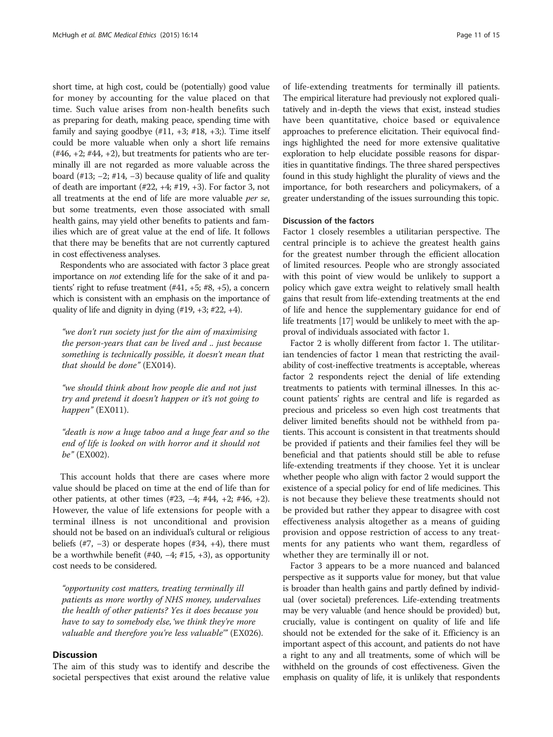short time, at high cost, could be (potentially) good value for money by accounting for the value placed on that time. Such value arises from non-health benefits such as preparing for death, making peace, spending time with family and saying goodbye  $(\#11, +3; \#18, +3;)$ . Time itself could be more valuable when only a short life remains  $(\#46, +2; \#44, +2)$ , but treatments for patients who are terminally ill are not regarded as more valuable across the board (#13;  $-2$ ; #14,  $-3$ ) because quality of life and quality of death are important (#22, +4; #19, +3). For factor 3, not all treatments at the end of life are more valuable per se, but some treatments, even those associated with small health gains, may yield other benefits to patients and families which are of great value at the end of life. It follows that there may be benefits that are not currently captured in cost effectiveness analyses.

Respondents who are associated with factor 3 place great importance on not extending life for the sake of it and patients' right to refuse treatment (#41, +5; #8, +5), a concern which is consistent with an emphasis on the importance of quality of life and dignity in dying  $(\#19, +3; \#22, +4)$ .

"we don't run society just for the aim of maximising the person-years that can be lived and .. just because something is technically possible, it doesn't mean that that should be done" (EX014).

"we should think about how people die and not just try and pretend it doesn't happen or it's not going to happen" (EX011).

"death is now a huge taboo and a huge fear and so the end of life is looked on with horror and it should not be" (EX002).

This account holds that there are cases where more value should be placed on time at the end of life than for other patients, at other times (#23, −4; #44, +2; #46, +2). However, the value of life extensions for people with a terminal illness is not unconditional and provision should not be based on an individual's cultural or religious beliefs (#7,  $-3$ ) or desperate hopes (#34,  $+4$ ), there must be a worthwhile benefit (#40,  $-4$ ; #15,  $+3$ ), as opportunity cost needs to be considered.

"opportunity cost matters, treating terminally ill patients as more worthy of NHS money, undervalues the health of other patients? Yes it does because you have to say to somebody else, 'we think they're more valuable and therefore you're less valuable'" (EX026).

## **Discussion**

The aim of this study was to identify and describe the societal perspectives that exist around the relative value of life-extending treatments for terminally ill patients. The empirical literature had previously not explored qualitatively and in-depth the views that exist, instead studies have been quantitative, choice based or equivalence approaches to preference elicitation. Their equivocal findings highlighted the need for more extensive qualitative exploration to help elucidate possible reasons for disparities in quantitative findings. The three shared perspectives found in this study highlight the plurality of views and the importance, for both researchers and policymakers, of a greater understanding of the issues surrounding this topic.

#### Discussion of the factors

Factor 1 closely resembles a utilitarian perspective. The central principle is to achieve the greatest health gains for the greatest number through the efficient allocation of limited resources. People who are strongly associated with this point of view would be unlikely to support a policy which gave extra weight to relatively small health gains that result from life-extending treatments at the end of life and hence the supplementary guidance for end of life treatments [\[17\]](#page-14-0) would be unlikely to meet with the approval of individuals associated with factor 1.

Factor 2 is wholly different from factor 1. The utilitarian tendencies of factor 1 mean that restricting the availability of cost-ineffective treatments is acceptable, whereas factor 2 respondents reject the denial of life extending treatments to patients with terminal illnesses. In this account patients' rights are central and life is regarded as precious and priceless so even high cost treatments that deliver limited benefits should not be withheld from patients. This account is consistent in that treatments should be provided if patients and their families feel they will be beneficial and that patients should still be able to refuse life-extending treatments if they choose. Yet it is unclear whether people who align with factor 2 would support the existence of a special policy for end of life medicines. This is not because they believe these treatments should not be provided but rather they appear to disagree with cost effectiveness analysis altogether as a means of guiding provision and oppose restriction of access to any treatments for any patients who want them, regardless of whether they are terminally ill or not.

Factor 3 appears to be a more nuanced and balanced perspective as it supports value for money, but that value is broader than health gains and partly defined by individual (over societal) preferences. Life-extending treatments may be very valuable (and hence should be provided) but, crucially, value is contingent on quality of life and life should not be extended for the sake of it. Efficiency is an important aspect of this account, and patients do not have a right to any and all treatments, some of which will be withheld on the grounds of cost effectiveness. Given the emphasis on quality of life, it is unlikely that respondents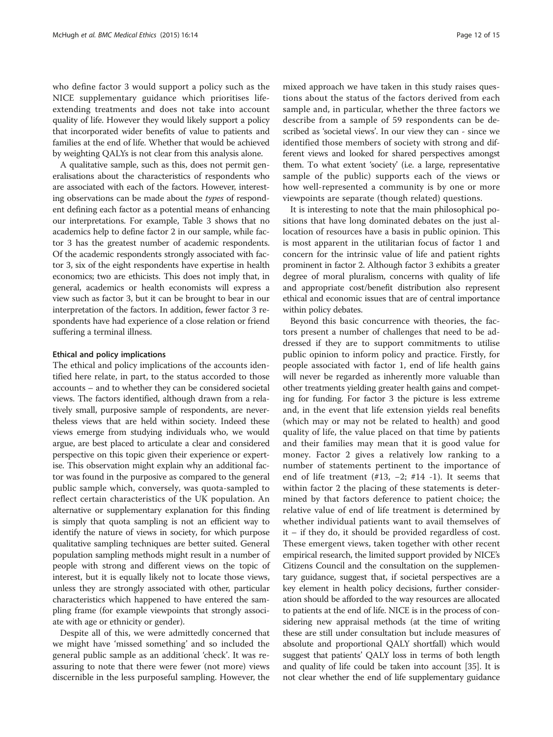who define factor 3 would support a policy such as the NICE supplementary guidance which prioritises lifeextending treatments and does not take into account quality of life. However they would likely support a policy that incorporated wider benefits of value to patients and families at the end of life. Whether that would be achieved by weighting QALYs is not clear from this analysis alone.

A qualitative sample, such as this, does not permit generalisations about the characteristics of respondents who are associated with each of the factors. However, interesting observations can be made about the types of respondent defining each factor as a potential means of enhancing our interpretations. For example, Table [3](#page-8-0) shows that no academics help to define factor 2 in our sample, while factor 3 has the greatest number of academic respondents. Of the academic respondents strongly associated with factor 3, six of the eight respondents have expertise in health economics; two are ethicists. This does not imply that, in general, academics or health economists will express a view such as factor 3, but it can be brought to bear in our interpretation of the factors. In addition, fewer factor 3 respondents have had experience of a close relation or friend suffering a terminal illness.

#### Ethical and policy implications

The ethical and policy implications of the accounts identified here relate, in part, to the status accorded to those accounts – and to whether they can be considered societal views. The factors identified, although drawn from a relatively small, purposive sample of respondents, are nevertheless views that are held within society. Indeed these views emerge from studying individuals who, we would argue, are best placed to articulate a clear and considered perspective on this topic given their experience or expertise. This observation might explain why an additional factor was found in the purposive as compared to the general public sample which, conversely, was quota-sampled to reflect certain characteristics of the UK population. An alternative or supplementary explanation for this finding is simply that quota sampling is not an efficient way to identify the nature of views in society, for which purpose qualitative sampling techniques are better suited. General population sampling methods might result in a number of people with strong and different views on the topic of interest, but it is equally likely not to locate those views, unless they are strongly associated with other, particular characteristics which happened to have entered the sampling frame (for example viewpoints that strongly associate with age or ethnicity or gender).

Despite all of this, we were admittedly concerned that we might have 'missed something' and so included the general public sample as an additional 'check'. It was reassuring to note that there were fewer (not more) views discernible in the less purposeful sampling. However, the

mixed approach we have taken in this study raises questions about the status of the factors derived from each sample and, in particular, whether the three factors we describe from a sample of 59 respondents can be described as 'societal views'. In our view they can - since we identified those members of society with strong and different views and looked for shared perspectives amongst them. To what extent 'society' (i.e. a large, representative sample of the public) supports each of the views or how well-represented a community is by one or more viewpoints are separate (though related) questions.

It is interesting to note that the main philosophical positions that have long dominated debates on the just allocation of resources have a basis in public opinion. This is most apparent in the utilitarian focus of factor 1 and concern for the intrinsic value of life and patient rights prominent in factor 2. Although factor 3 exhibits a greater degree of moral pluralism, concerns with quality of life and appropriate cost/benefit distribution also represent ethical and economic issues that are of central importance within policy debates.

Beyond this basic concurrence with theories, the factors present a number of challenges that need to be addressed if they are to support commitments to utilise public opinion to inform policy and practice. Firstly, for people associated with factor 1, end of life health gains will never be regarded as inherently more valuable than other treatments yielding greater health gains and competing for funding. For factor 3 the picture is less extreme and, in the event that life extension yields real benefits (which may or may not be related to health) and good quality of life, the value placed on that time by patients and their families may mean that it is good value for money. Factor 2 gives a relatively low ranking to a number of statements pertinent to the importance of end of life treatment (#13, −2; #14 -1). It seems that within factor 2 the placing of these statements is determined by that factors deference to patient choice; the relative value of end of life treatment is determined by whether individual patients want to avail themselves of it – if they do, it should be provided regardless of cost. These emergent views, taken together with other recent empirical research, the limited support provided by NICE's Citizens Council and the consultation on the supplementary guidance, suggest that, if societal perspectives are a key element in health policy decisions, further consideration should be afforded to the way resources are allocated to patients at the end of life. NICE is in the process of considering new appraisal methods (at the time of writing these are still under consultation but include measures of absolute and proportional QALY shortfall) which would suggest that patients' QALY loss in terms of both length and quality of life could be taken into account [[35](#page-14-0)]. It is not clear whether the end of life supplementary guidance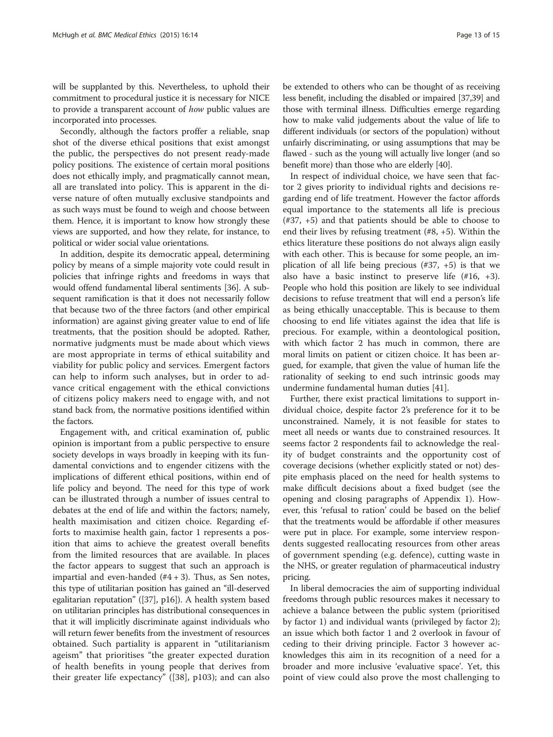will be supplanted by this. Nevertheless, to uphold their commitment to procedural justice it is necessary for NICE to provide a transparent account of how public values are incorporated into processes.

Secondly, although the factors proffer a reliable, snap shot of the diverse ethical positions that exist amongst the public, the perspectives do not present ready-made policy positions. The existence of certain moral positions does not ethically imply, and pragmatically cannot mean, all are translated into policy. This is apparent in the diverse nature of often mutually exclusive standpoints and as such ways must be found to weigh and choose between them. Hence, it is important to know how strongly these views are supported, and how they relate, for instance, to political or wider social value orientations.

In addition, despite its democratic appeal, determining policy by means of a simple majority vote could result in policies that infringe rights and freedoms in ways that would offend fundamental liberal sentiments [[36](#page-14-0)]. A subsequent ramification is that it does not necessarily follow that because two of the three factors (and other empirical information) are against giving greater value to end of life treatments, that the position should be adopted. Rather, normative judgments must be made about which views are most appropriate in terms of ethical suitability and viability for public policy and services. Emergent factors can help to inform such analyses, but in order to advance critical engagement with the ethical convictions of citizens policy makers need to engage with, and not stand back from, the normative positions identified within the factors.

Engagement with, and critical examination of, public opinion is important from a public perspective to ensure society develops in ways broadly in keeping with its fundamental convictions and to engender citizens with the implications of different ethical positions, within end of life policy and beyond. The need for this type of work can be illustrated through a number of issues central to debates at the end of life and within the factors; namely, health maximisation and citizen choice. Regarding efforts to maximise health gain, factor 1 represents a position that aims to achieve the greatest overall benefits from the limited resources that are available. In places the factor appears to suggest that such an approach is impartial and even-handed  $(\#4 + 3)$ . Thus, as Sen notes, this type of utilitarian position has gained an "ill-deserved egalitarian reputation" ([\[37](#page-14-0)], p16]). A health system based on utilitarian principles has distributional consequences in that it will implicitly discriminate against individuals who will return fewer benefits from the investment of resources obtained. Such partiality is apparent in "utilitarianism ageism" that prioritises "the greater expected duration of health benefits in young people that derives from their greater life expectancy" ([[38\]](#page-14-0), p103); and can also

be extended to others who can be thought of as receiving less benefit, including the disabled or impaired [[37,39\]](#page-14-0) and those with terminal illness. Difficulties emerge regarding how to make valid judgements about the value of life to different individuals (or sectors of the population) without unfairly discriminating, or using assumptions that may be flawed - such as the young will actually live longer (and so benefit more) than those who are elderly [\[40](#page-14-0)].

In respect of individual choice, we have seen that factor 2 gives priority to individual rights and decisions regarding end of life treatment. However the factor affords equal importance to the statements all life is precious (#37, +5) and that patients should be able to choose to end their lives by refusing treatment (#8, +5). Within the ethics literature these positions do not always align easily with each other. This is because for some people, an implication of all life being precious  $(#37, +5)$  is that we also have a basic instinct to preserve life  $(\#16, +3)$ . People who hold this position are likely to see individual decisions to refuse treatment that will end a person's life as being ethically unacceptable. This is because to them choosing to end life vitiates against the idea that life is precious. For example, within a deontological position, with which factor 2 has much in common, there are moral limits on patient or citizen choice. It has been argued, for example, that given the value of human life the rationality of seeking to end such intrinsic goods may undermine fundamental human duties [[41](#page-14-0)].

Further, there exist practical limitations to support individual choice, despite factor 2's preference for it to be unconstrained. Namely, it is not feasible for states to meet all needs or wants due to constrained resources. It seems factor 2 respondents fail to acknowledge the reality of budget constraints and the opportunity cost of coverage decisions (whether explicitly stated or not) despite emphasis placed on the need for health systems to make difficult decisions about a fixed budget (see the opening and closing paragraphs of [Appendix 1\)](#page-13-0). However, this 'refusal to ration' could be based on the belief that the treatments would be affordable if other measures were put in place. For example, some interview respondents suggested reallocating resources from other areas of government spending (e.g. defence), cutting waste in the NHS, or greater regulation of pharmaceutical industry pricing.

In liberal democracies the aim of supporting individual freedoms through public resources makes it necessary to achieve a balance between the public system (prioritised by factor 1) and individual wants (privileged by factor 2); an issue which both factor 1 and 2 overlook in favour of ceding to their driving principle. Factor 3 however acknowledges this aim in its recognition of a need for a broader and more inclusive 'evaluative space'. Yet, this point of view could also prove the most challenging to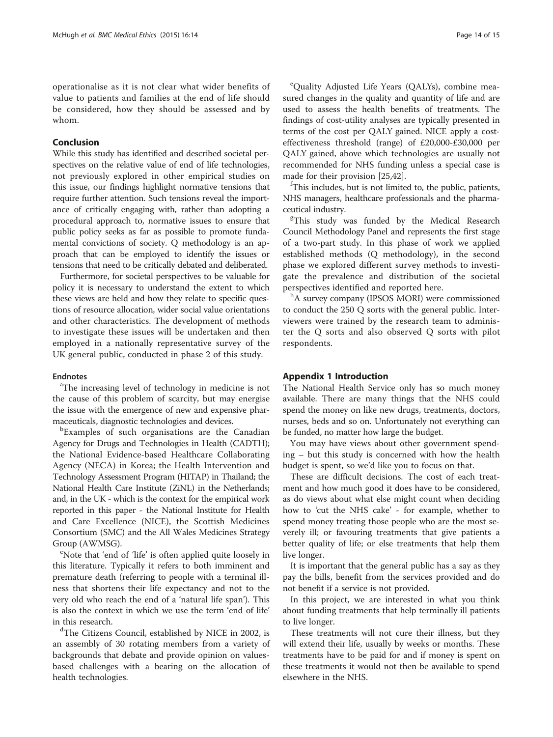<span id="page-13-0"></span>operationalise as it is not clear what wider benefits of value to patients and families at the end of life should be considered, how they should be assessed and by whom.

## Conclusion

While this study has identified and described societal perspectives on the relative value of end of life technologies, not previously explored in other empirical studies on this issue, our findings highlight normative tensions that require further attention. Such tensions reveal the importance of critically engaging with, rather than adopting a procedural approach to, normative issues to ensure that public policy seeks as far as possible to promote fundamental convictions of society. Q methodology is an approach that can be employed to identify the issues or tensions that need to be critically debated and deliberated.

Furthermore, for societal perspectives to be valuable for policy it is necessary to understand the extent to which these views are held and how they relate to specific questions of resource allocation, wider social value orientations and other characteristics. The development of methods to investigate these issues will be undertaken and then employed in a nationally representative survey of the UK general public, conducted in phase 2 of this study.

#### Endnotes

<sup>a</sup>The increasing level of technology in medicine is not the cause of this problem of scarcity, but may energise the issue with the emergence of new and expensive pharmaceuticals, diagnostic technologies and devices.

<sup>b</sup>Examples of such organisations are the Canadian Agency for Drugs and Technologies in Health (CADTH); the National Evidence-based Healthcare Collaborating Agency (NECA) in Korea; the Health Intervention and Technology Assessment Program (HITAP) in Thailand; the National Health Care Institute (ZiNL) in the Netherlands; and, in the UK - which is the context for the empirical work reported in this paper - the National Institute for Health and Care Excellence (NICE), the Scottish Medicines Consortium (SMC) and the All Wales Medicines Strategy Group (AWMSG).

Note that 'end of 'life' is often applied quite loosely in this literature. Typically it refers to both imminent and premature death (referring to people with a terminal illness that shortens their life expectancy and not to the very old who reach the end of a 'natural life span'). This is also the context in which we use the term 'end of life' in this research.

<sup>d</sup>The Citizens Council, established by NICE in 2002, is an assembly of 30 rotating members from a variety of backgrounds that debate and provide opinion on valuesbased challenges with a bearing on the allocation of health technologies.

e Quality Adjusted Life Years (QALYs), combine measured changes in the quality and quantity of life and are used to assess the health benefits of treatments. The findings of cost-utility analyses are typically presented in terms of the cost per QALY gained. NICE apply a costeffectiveness threshold (range) of £20,000-£30,000 per QALY gained, above which technologies are usually not recommended for NHS funding unless a special case is made for their provision [[25](#page-14-0),[42](#page-14-0)].

<sup>f</sup>This includes, but is not limited to, the public, patients, NHS managers, healthcare professionals and the pharmaceutical industry.

<sup>g</sup>This study was funded by the Medical Research Council Methodology Panel and represents the first stage of a two-part study. In this phase of work we applied established methods (Q methodology), in the second phase we explored different survey methods to investigate the prevalence and distribution of the societal perspectives identified and reported here.

<sup>h</sup>A survey company (IPSOS MORI) were commissioned to conduct the 250 Q sorts with the general public. Interviewers were trained by the research team to administer the Q sorts and also observed Q sorts with pilot respondents.

#### Appendix 1 Introduction

The National Health Service only has so much money available. There are many things that the NHS could spend the money on like new drugs, treatments, doctors, nurses, beds and so on. Unfortunately not everything can be funded, no matter how large the budget.

You may have views about other government spending – but this study is concerned with how the health budget is spent, so we'd like you to focus on that.

These are difficult decisions. The cost of each treatment and how much good it does have to be considered, as do views about what else might count when deciding how to 'cut the NHS cake' - for example, whether to spend money treating those people who are the most severely ill; or favouring treatments that give patients a better quality of life; or else treatments that help them live longer.

It is important that the general public has a say as they pay the bills, benefit from the services provided and do not benefit if a service is not provided.

In this project, we are interested in what you think about funding treatments that help terminally ill patients to live longer.

These treatments will not cure their illness, but they will extend their life, usually by weeks or months. These treatments have to be paid for and if money is spent on these treatments it would not then be available to spend elsewhere in the NHS.